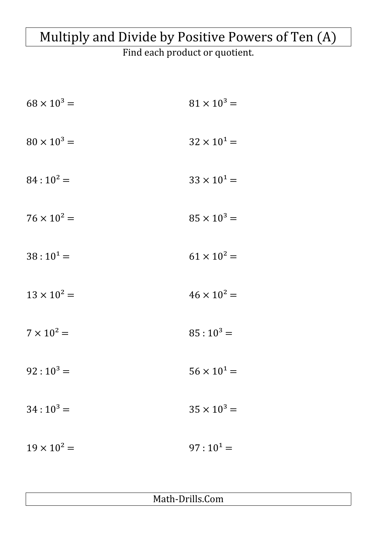## Multiply and Divide by Positive Powers of Ten (A)

Find each product or quotient.

| $68 \times 10^3 =$ | $81 \times 10^3 =$   |
|--------------------|----------------------|
| $80 \times 10^3 =$ | $32 \times 10^{1} =$ |
| $84:10^2 =$        | $33 \times 10^{1} =$ |
| $76 \times 10^2 =$ | $85 \times 10^3 =$   |
| $38:10^{1} =$      | $61 \times 10^2 =$   |
| $13 \times 10^2 =$ | $46 \times 10^2 =$   |
| $7 \times 10^2 =$  | $85:10^3 =$          |
| $92:10^3 =$        | $56 \times 10^{1} =$ |
| $34:10^3 =$        | $35 \times 10^3 =$   |
| $19 \times 10^2 =$ | $97:10^1 =$          |